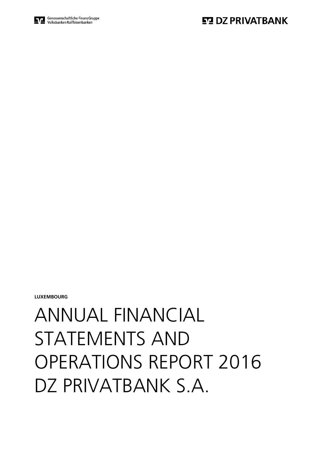# ANNUAL FINANCIAL STATEMENTS AND OPERATIONS REPORT 2016 DZ PRIVATBANK S.A.

**LUXEMBOURG**

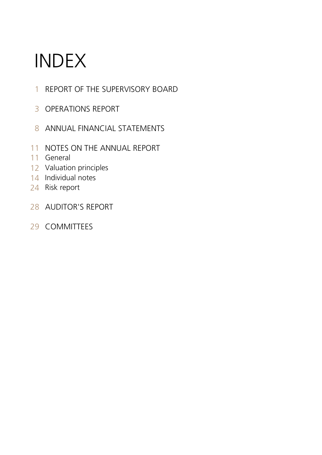# INDEX

- REPORT OF THE SUPERVISORY BOARD
- OPERATIONS REPORT
- 8 ANNUAL FINANCIAL STATEMENTS
- NOTES ON THE ANNUAL REPORT
- General
- Valuation principles
- Individual notes
- 4 Risk report
- AUDITOR'S REPORT
- COMMITTEES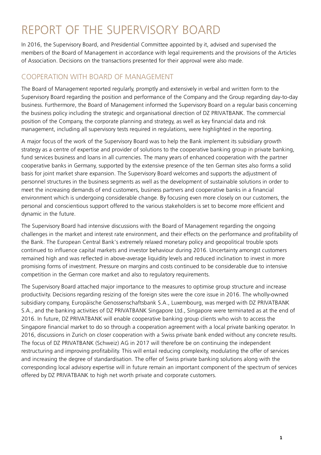## REPORT OF THE SUPERVISORY BOARD

In 2016, the Supervisory Board, and Presidential Committee appointed by it, advised and supervised the members of the Board of Management in accordance with legal requirements and the provisions of the Articles of Association. Decisions on the transactions presented for their approval were also made.

## COOPERATION WITH BOARD OF MANAGEMENT

The Board of Management reported regularly, promptly and extensively in verbal and written form to the Supervisory Board regarding the position and performance of the Company and the Group regarding day-to-day business. Furthermore, the Board of Management informed the Supervisory Board on a regular basis concerning the business policy including the strategic and organisational direction of DZ PRIVATBANK. The commercial position of the Company, the corporate planning and strategy, as well as key financial data and risk management, including all supervisory tests required in regulations, were highlighted in the reporting.

A major focus of the work of the Supervisory Board was to help the Bank implement its subsidiary growth strategy as a centre of expertise and provider of solutions to the cooperative banking group in private banking, fund services business and loans in all currencies. The many years of enhanced cooperation with the partner cooperative banks in Germany, supported by the extensive presence of the ten German sites also forms a solid basis for joint market share expansion. The Supervisory Board welcomes and supports the adjustment of personnel structures in the business segments as well as the development of sustainable solutions in order to meet the increasing demands of end customers, business partners and cooperative banks in a financial environment which is undergoing considerable change. By focusing even more closely on our customers, the personal and conscientious support offered to the various stakeholders is set to become more efficient and dynamic in the future.

The Supervisory Board had intensive discussions with the Board of Management regarding the ongoing challenges in the market and interest rate environment, and their effects on the performance and profitability of the Bank. The European Central Bank's extremely relaxed monetary policy and geopolitical trouble spots continued to influence capital markets and investor behaviour during 2016. Uncertainty amongst customers remained high and was reflected in above-average liquidity levels and reduced inclination to invest in more promising forms of investment. Pressure on margins and costs continued to be considerable due to intensive competition in the German core market and also to regulatory requirements.

The Supervisory Board attached major importance to the measures to optimise group structure and increase productivity. Decisions regarding resizing of the foreign sites were the core issue in 2016. The wholly-owned subsidiary company, Europäische Genossenschaftsbank S.A., Luxembourg, was merged with DZ PRIVATBANK S.A., and the banking activities of DZ PRIVATBANK Singapore Ltd., Singapore were terminated as at the end of 2016. In future, DZ PRIVATBANK will enable cooperative banking group clients who wish to access the Singapore financial market to do so through a cooperation agreement with a local private banking operator. In 2016, discussions in Zurich on closer cooperation with a Swiss private bank ended without any concrete results. The focus of DZ PRIVATBANK (Schweiz) AG in 2017 will therefore be on continuing the independent restructuring and improving profitability. This will entail reducing complexity, modulating the offer of services and increasing the degree of standardisation. The offer of Swiss private banking solutions along with the corresponding local advisory expertise will in future remain an important component of the spectrum of services offered by DZ PRIVATBANK to high net worth private and corporate customers.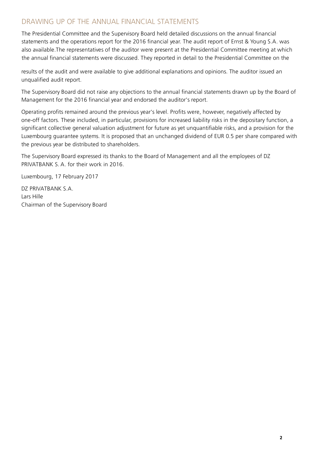## DRAWING UP OF THE ANNUAL FINANCIAL STATEMENTS

The Presidential Committee and the Supervisory Board held detailed discussions on the annual financial statements and the operations report for the 2016 financial year. The audit report of Ernst & Young S.A. was also available.The representatives of the auditor were present at the Presidential Committee meeting at which the annual financial statements were discussed. They reported in detail to the Presidential Committee on the

results of the audit and were available to give additional explanations and opinions. The auditor issued an unqualified audit report.

The Supervisory Board did not raise any objections to the annual financial statements drawn up by the Board of Management for the 2016 financial year and endorsed the auditor's report.

Operating profits remained around the previous year's level. Profits were, however, negatively affected by one-off factors. These included, in particular, provisions for increased liability risks in the depositary function, a significant collective general valuation adjustment for future as yet unquantifiable risks, and a provision for the Luxembourg guarantee systems. It is proposed that an unchanged dividend of EUR 0.5 per share compared with the previous year be distributed to shareholders.

The Supervisory Board expressed its thanks to the Board of Management and all the employees of DZ PRIVATBANK S. A. for their work in 2016.

Luxembourg, 17 February 2017

DZ PRIVATBANK S.A. Lars Hille Chairman of the Supervisory Board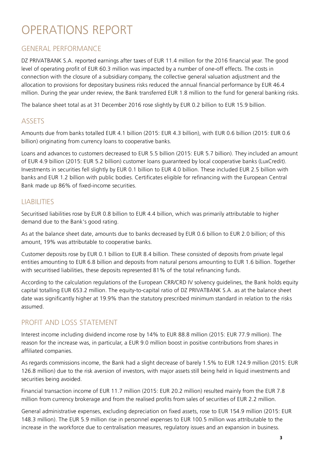## OPERATIONS REPORT

## GENERAL PERFORMANCE

DZ PRIVATBANK S.A. reported earnings after taxes of EUR 11.4 million for the 2016 financial year. The good level of operating profit of EUR 60.3 million was impacted by a number of one-off effects. The costs in connection with the closure of a subsidiary company, the collective general valuation adjustment and the allocation to provisions for depositary business risks reduced the annual financial performance by EUR 46.4 million. During the year under review, the Bank transferred EUR 1.8 million to the fund for general banking risks.

The balance sheet total as at 31 December 2016 rose slightly by EUR 0.2 billion to EUR 15.9 billion.

## **ASSETS**

Amounts due from banks totalled EUR 4.1 billion (2015: EUR 4.3 billion), with EUR 0.6 billion (2015: EUR 0.6 billion) originating from currency loans to cooperative banks.

Loans and advances to customers decreased to EUR 5.5 billion (2015: EUR 5.7 billion). They included an amount of EUR 4.9 billion (2015: EUR 5.2 billion) customer loans guaranteed by local cooperative banks (LuxCredit). Investments in securities fell slightly by EUR 0.1 billion to EUR 4.0 billion. These included EUR 2.5 billion with banks and EUR 1.2 billion with public bodies. Certificates eligible for refinancing with the European Central Bank made up 86% of fixed-income securities.

## LIABILITIES

Securitised liabilities rose by EUR 0.8 billion to EUR 4.4 billion, which was primarily attributable to higher demand due to the Bank's good rating.

As at the balance sheet date, amounts due to banks decreased by EUR 0.6 billion to EUR 2.0 billion; of this amount, 19% was attributable to cooperative banks.

Customer deposits rose by EUR 0.1 billion to EUR 8.4 billion. These consisted of deposits from private legal entities amounting to EUR 6.8 billion and deposits from natural persons amounting to EUR 1.6 billion. Together with securitised liabilities, these deposits represented 81% of the total refinancing funds.

According to the calculation regulations of the European CRR/CRD IV solvency guidelines, the Bank holds equity capital totalling EUR 653.2 million. The equity-to-capital ratio of DZ PRIVATBANK S.A. as at the balance sheet date was significantly higher at 19.9% than the statutory prescribed minimum standard in relation to the risks assumed.

## PROFIT AND LOSS STATEMENT

Interest income including dividend income rose by 14% to EUR 88.8 million (2015: EUR 77.9 million). The reason for the increase was, in particular, a EUR 9.0 million boost in positive contributions from shares in affiliated companies.

As regards commissions income, the Bank had a slight decrease of barely 1.5% to EUR 124.9 million (2015: EUR 126.8 million) due to the risk aversion of investors, with major assets still being held in liquid investments and securities being avoided.

Financial transaction income of EUR 11.7 million (2015: EUR 20.2 million) resulted mainly from the EUR 7.8 million from currency brokerage and from the realised profits from sales of securities of EUR 2.2 million.

General administrative expenses, excluding depreciation on fixed assets, rose to EUR 154.9 million (2015: EUR 148.3 million). The EUR 5.9 million rise in personnel expenses to EUR 100.5 million was attributable to the increase in the workforce due to centralisation measures, regulatory issues and an expansion in business.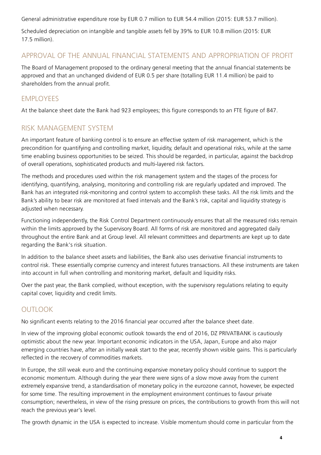General administrative expenditure rose by EUR 0.7 million to EUR 54.4 million (2015: EUR 53.7 million).

Scheduled depreciation on intangible and tangible assets fell by 39% to EUR 10.8 million (2015: EUR 17.5 million).

## APPROVAL OF THE ANNUAL FINANCIAL STATEMENTS AND APPROPRIATION OF PROFIT

The Board of Management proposed to the ordinary general meeting that the annual financial statements be approved and that an unchanged dividend of EUR 0.5 per share (totalling EUR 11.4 million) be paid to shareholders from the annual profit.

## EMPLOYEES

At the balance sheet date the Bank had 923 employees; this figure corresponds to an FTE figure of 847.

## RISK MANAGEMENT SYSTEM

An important feature of banking control is to ensure an effective system of risk management, which is the precondition for quantifying and controlling market, liquidity, default and operational risks, while at the same time enabling business opportunities to be seized. This should be regarded, in particular, against the backdrop of overall operations, sophisticated products and multi-layered risk factors.

The methods and procedures used within the risk management system and the stages of the process for identifying, quantifying, analysing, monitoring and controlling risk are regularly updated and improved. The Bank has an integrated risk-monitoring and control system to accomplish these tasks. All the risk limits and the Bank's ability to bear risk are monitored at fixed intervals and the Bank's risk, capital and liquidity strategy is adjusted when necessary.

Functioning independently, the Risk Control Department continuously ensures that all the measured risks remain within the limits approved by the Supervisory Board. All forms of risk are monitored and aggregated daily throughout the entire Bank and at Group level. All relevant committees and departments are kept up to date regarding the Bank's risk situation.

In addition to the balance sheet assets and liabilities, the Bank also uses derivative financial instruments to control risk. These essentially comprise currency and interest futures transactions. All these instruments are taken into account in full when controlling and monitoring market, default and liquidity risks.

Over the past year, the Bank complied, without exception, with the supervisory regulations relating to equity capital cover, liquidity and credit limits.

## **OUTLOOK**

No significant events relating to the 2016 financial year occurred after the balance sheet date.

In view of the improving global economic outlook towards the end of 2016, DZ PRIVATBANK is cautiously optimistic about the new year. Important economic indicators in the USA, Japan, Europe and also major emerging countries have, after an initially weak start to the year, recently shown visible gains. This is particularly reflected in the recovery of commodities markets.

In Europe, the still weak euro and the continuing expansive monetary policy should continue to support the economic momentum. Although during the year there were signs of a slow move away from the current extremely expansive trend, a standardisation of monetary policy in the eurozone cannot, however, be expected for some time. The resulting improvement in the employment environment continues to favour private consumption; nevertheless, in view of the rising pressure on prices, the contributions to growth from this will not reach the previous year's level.

The growth dynamic in the USA is expected to increase. Visible momentum should come in particular from the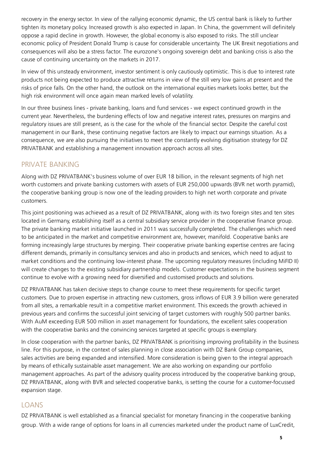recovery in the energy sector. In view of the rallying economic dynamic, the US central bank is likely to further tighten its monetary policy. Increased growth is also expected in Japan. In China, the government will definitely oppose a rapid decline in growth. However, the global economy is also exposed to risks. The still unclear economic policy of President Donald Trump is cause for considerable uncertainty. The UK Brexit negotiations and consequences will also be a stress factor. The eurozone's ongoing sovereign debt and banking crisis is also the cause of continuing uncertainty on the markets in 2017.

In view of this unsteady environment, investor sentiment is only cautiously optimistic. This is due to interest rate products not being expected to produce attractive returns in view of the still very low gains at present and the risks of price falls. On the other hand, the outlook on the international equities markets looks better, but the high risk environment will once again mean marked levels of volatility.

In our three business lines - private banking, loans and fund services - we expect continued growth in the current year. Nevertheless, the burdening effects of low and negative interest rates, pressures on margins and regulatory issues are still present, as is the case for the whole of the financial sector. Despite the careful cost management in our Bank, these continuing negative factors are likely to impact our earnings situation. As a consequence, we are also pursuing the initiatives to meet the constantly evolving digitisation strategy for DZ PRIVATBANK and establishing a management innovation approach across all sites.

## PRIVATE BANKING

Along with DZ PRIVATBANK's business volume of over EUR 18 billion, in the relevant segments of high net worth customers and private banking customers with assets of EUR 250,000 upwards (BVR net worth pyramid), the cooperative banking group is now one of the leading providers to high net worth corporate and private customers.

This joint positioning was achieved as a result of DZ PRIVATBANK, along with its two foreign sites and ten sites located in Germany, establishing itself as a central subsidiary service provider in the cooperative finance group. The private banking market initiative launched in 2011 was successfully completed. The challenges which need to be anticipated in the market and competitive environment are, however, manifold. Cooperative banks are forming increasingly large structures by merging. Their cooperative private banking expertise centres are facing different demands, primarily in consultancy services and also in products and services, which need to adjust to market conditions and the continuing low-interest phase. The upcoming regulatory measures (including MiFID II) will create changes to the existing subsidiary partnership models. Customer expectations in the business segment continue to evolve with a growing need for diversified and customised products and solutions.

DZ PRIVATBANK has taken decisive steps to change course to meet these requirements for specific target customers. Due to proven expertise in attracting new customers, gross inflows of EUR 3.9 billion were generated from all sites, a remarkable result in a competitive market environment. This exceeds the growth achieved in previous years and confirms the successful joint servicing of target customers with roughly 500 partner banks. With AuM exceeding EUR 500 million in asset management for foundations, the excellent sales cooperation with the cooperative banks and the convincing services targeted at specific groups is exemplary.

In close cooperation with the partner banks, DZ PRIVATBANK is prioritising improving profitability in the business line. For this purpose, in the context of sales planning in close association with DZ Bank Group companies, sales activities are being expanded and intensified. More consideration is being given to the integral approach by means of ethically sustainable asset management. We are also working on expanding our portfolio management approaches. As part of the advisory quality process introduced by the cooperative banking group, DZ PRIVATBANK, along with BVR and selected cooperative banks, is setting the course for a customer-focussed expansion stage.

## LOANS

DZ PRIVATBANK is well established as a financial specialist for monetary financing in the cooperative banking group. With a wide range of options for loans in all currencies marketed under the product name of LuxCredit,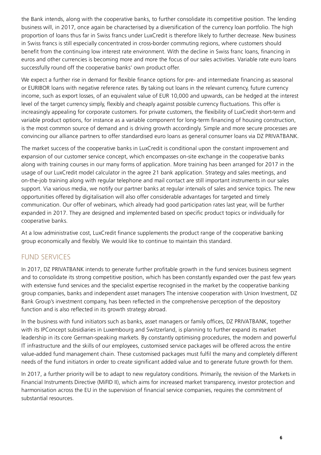the Bank intends, along with the cooperative banks, to further consolidate its competitive position. The lending business will, in 2017, once again be characterised by a diversification of the currency loan portfolio. The high proportion of loans thus far in Swiss francs under LuxCredit is therefore likely to further decrease. New business in Swiss francs is still especially concentrated in cross-border commuting regions, where customers should benefit from the continuing low interest rate environment. With the decline in Swiss franc loans, financing in euros and other currencies is becoming more and more the focus of our sales activities. Variable rate euro loans successfully round off the cooperative banks' own product offer.

We expect a further rise in demand for flexible finance options for pre- and intermediate financing as seasonal or EURIBOR loans with negative reference rates. By taking out loans in the relevant currency, future currency income, such as export losses, of an equivalent value of EUR 10,000 and upwards, can be hedged at the interest level of the target currency simply, flexibly and cheaply against possible currency fluctuations. This offer is increasingly appealing for corporate customers. For private customers, the flexibility of LuxCredit short-term and variable product options, for instance as a variable component for long-term financing of housing construction, is the most common source of demand and is driving growth accordingly. Simple and more secure processes are convincing our alliance partners to offer standardised euro loans as general consumer loans via DZ PRIVATBANK.

The market success of the cooperative banks in LuxCredit is conditional upon the constant improvement and expansion of our customer service concept, which encompasses on-site exchange in the cooperative banks along with training courses in our many forms of application. More training has been arranged for 2017 in the usage of our LuxCredit model calculator in the agree 21 bank application. Strategy and sales meetings, and on-the-job training along with regular telephone and mail contact are still important instruments in our sales support. Via various media, we notify our partner banks at regular intervals of sales and service topics. The new opportunities offered by digitalisation will also offer considerable advantages for targeted and timely communication. Our offer of webinars, which already had good participation rates last year, will be further expanded in 2017. They are designed and implemented based on specific product topics or individually for cooperative banks.

At a low administrative cost, LuxCredit finance supplements the product range of the cooperative banking group economically and flexibly. We would like to continue to maintain this standard.

## FUND SERVICES

In 2017, DZ PRIVATBANK intends to generate further profitable growth in the fund services business segment and to consolidate its strong competitive position, which has been constantly expanded over the past few years with extensive fund services and the specialist expertise recognised in the market by the cooperative banking group companies, banks and independent asset managers The intensive cooperation with Union Investment, DZ Bank Group's investment company, has been reflected in the comprehensive perception of the depository function and is also reflected in its growth strategy abroad.

In the business with fund initiators such as banks, asset managers or family offices, DZ PRIVATBANK, together with its IPConcept subsidiaries in Luxembourg and Switzerland, is planning to further expand its market leadership in its core German-speaking markets. By constantly optimising procedures, the modern and powerful IT infrastructure and the skills of our employees, customised service packages will be offered across the entire value-added fund management chain. These customised packages must fulfil the many and completely different needs of the fund initiators in order to create significant added value and to generate future growth for them.

In 2017, a further priority will be to adapt to new regulatory conditions. Primarily, the revision of the Markets in Financial Instruments Directive (MiFID II), which aims for increased market transparency, investor protection and harmonisation across the EU in the supervision of financial service companies, requires the commitment of substantial resources.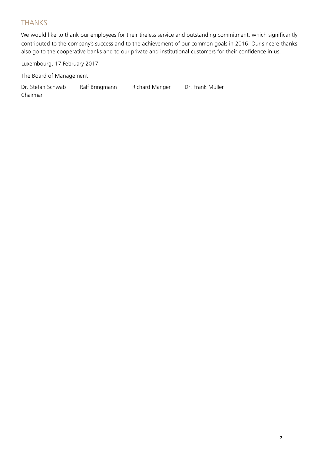## THANKS

contributed to the company's success and to the achievement of our common goals in 2016. Our sincere thanks also go to the cooperative banks and to our private and institutional customers for their confidence in us. We would like to thank our employees for their tireless service and outstanding commitment, which significantly

Luxembourg, 17 February 2017

The Board of Management

Dr. Stefan Schwab Ralf Bringmann Richard Manger Dr. Frank Müller Chairman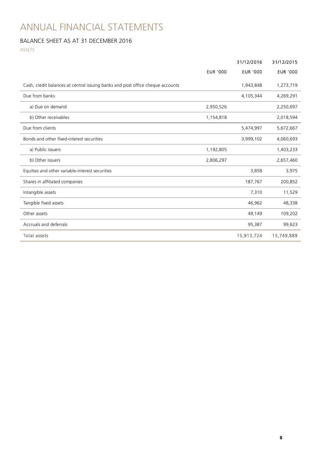## ANNUAL FINANCIAL STATEMENTS

## BALANCE SHEET AS AT 31 DECEMBER 2016

ASSETS

|                                                                                |                 | 31/12/2016      | 31/12/2015      |
|--------------------------------------------------------------------------------|-----------------|-----------------|-----------------|
|                                                                                | <b>EUR '000</b> | <b>EUR '000</b> | <b>EUR '000</b> |
| Cash, credit balances at central issuing banks and post office cheque accounts |                 | 1,943,848       | 1,273,719       |
| Due from banks                                                                 |                 | 4,105,344       | 4,269,291       |
| a) Due on demand                                                               | 2,950,526       |                 | 2,250,697       |
| b) Other receivables                                                           | 1,154,818       |                 | 2,018,594       |
| Due from clients                                                               |                 | 5,474,997       | 5,672,667       |
| Bonds and other fixed-interest securities                                      |                 | 3,999,102       | 4,060,693       |
| a) Public issuers                                                              | 1,192,805       |                 | 1,403,233       |
| b) Other issuers                                                               | 2,806,297       |                 | 2,657,460       |
| Equities and other variable-interest securities                                |                 | 3,858           | 3,975           |
| Shares in affiliated companies                                                 |                 | 187,767         | 200,852         |
| Intangible assets                                                              |                 | 7,310           | 11,529          |
| Tangible fixed assets                                                          |                 | 46,962          | 48,338          |
| Other assets                                                                   |                 | 49,149          | 109,202         |
| Accruals and deferrals                                                         |                 | 95,387          | 99,623          |
| <b>Total assets</b>                                                            |                 | 15,913,724      | 15,749,889      |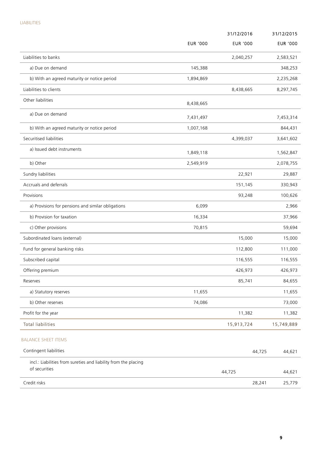|                                                                                  |                 | 31/12/2016      | 31/12/2015      |
|----------------------------------------------------------------------------------|-----------------|-----------------|-----------------|
|                                                                                  | <b>EUR '000</b> | <b>EUR '000</b> | <b>EUR '000</b> |
| Liabilities to banks                                                             |                 | 2,040,257       | 2,583,521       |
| a) Due on demand                                                                 | 145,388         |                 | 348,253         |
| b) With an agreed maturity or notice period                                      | 1,894,869       |                 | 2,235,268       |
| Liabilities to clients                                                           |                 | 8,438,665       | 8,297,745       |
| Other liabilities                                                                | 8,438,665       |                 |                 |
| a) Due on demand                                                                 | 7,431,497       |                 | 7,453,314       |
| b) With an agreed maturity or notice period                                      | 1,007,168       |                 | 844,431         |
| Securitised liabilities                                                          |                 | 4,399,037       | 3,641,602       |
| a) Issued debt instruments                                                       | 1,849,118       |                 | 1,562,847       |
| b) Other                                                                         | 2,549,919       |                 | 2,078,755       |
| Sundry liabilities                                                               |                 | 22,921          | 29,887          |
| Accruals and deferrals                                                           |                 | 151,145         | 330,943         |
| Provisions                                                                       |                 | 93,248          | 100,626         |
| a) Provisions for pensions and similar obligations                               | 6,099           |                 | 2,966           |
| b) Provision for taxation                                                        | 16,334          |                 | 37,966          |
| c) Other provisions                                                              | 70,815          |                 | 59,694          |
| Subordinated loans (external)                                                    |                 | 15,000          | 15,000          |
| Fund for general banking risks                                                   |                 | 112,800         | 111,000         |
| Subscribed capital                                                               |                 | 116,555         | 116,555         |
| Offering premium                                                                 |                 | 426,973         | 426,973         |
| Reserves                                                                         |                 | 85,741          | 84,655          |
| a) Statutory reserves                                                            | 11,655          |                 | 11,655          |
| b) Other reserves                                                                | 74,086          |                 | 73,000          |
| Profit for the year                                                              |                 | 11,382          | 11,382          |
| <b>Total liabilities</b>                                                         |                 | 15,913,724      | 15,749,889      |
| <b>BALANCE SHEET ITEMS</b>                                                       |                 |                 |                 |
| Contingent liabilities                                                           |                 | 44,725          | 44,621          |
| incl.: Liabilities from sureties and liability from the placing<br>of securities |                 | 44,725          | 44,621          |
| Credit risks                                                                     |                 | 28,241          | 25,779          |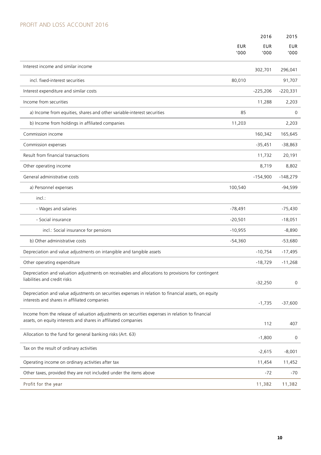## PROFIT AND LOSS ACCOUNT 2016

|                                                                                                                                                                    |                    | 2016               | 2015               |
|--------------------------------------------------------------------------------------------------------------------------------------------------------------------|--------------------|--------------------|--------------------|
|                                                                                                                                                                    | <b>EUR</b><br>'000 | <b>EUR</b><br>000' | <b>EUR</b><br>'000 |
| Interest income and similar income                                                                                                                                 |                    | 302,701            | 296,041            |
| incl. fixed-interest securities                                                                                                                                    | 80,010             |                    | 91,707             |
| Interest expenditure and similar costs                                                                                                                             |                    | $-225,206$         | $-220,331$         |
| Income from securities                                                                                                                                             |                    | 11,288             | 2,203              |
| a) Income from equities, shares and other variable-interest securities                                                                                             | 85                 |                    | 0                  |
| b) Income from holdings in affiliated companies                                                                                                                    | 11,203             |                    | 2,203              |
| Commission income                                                                                                                                                  |                    | 160,342            | 165,645            |
| Commission expenses                                                                                                                                                |                    | $-35,451$          | $-38,863$          |
| Result from financial transactions                                                                                                                                 |                    | 11,732             | 20,191             |
| Other operating income                                                                                                                                             |                    | 8,719              | 8,802              |
| General administrative costs                                                                                                                                       |                    | $-154,900$         | $-148,279$         |
| a) Personnel expenses                                                                                                                                              | 100,540            |                    | $-94,599$          |
| incl.:                                                                                                                                                             |                    |                    |                    |
| - Wages and salaries                                                                                                                                               | $-78,491$          |                    | $-75,430$          |
| - Social insurance                                                                                                                                                 | $-20,501$          |                    | $-18,051$          |
| incl.: Social insurance for pensions                                                                                                                               | $-10,955$          |                    | $-8,890$           |
| b) Other administrative costs                                                                                                                                      | $-54,360$          |                    | $-53,680$          |
| Depreciation and value adjustments on intangible and tangible assets                                                                                               |                    | $-10,754$          | $-17,495$          |
| Other operating expenditure                                                                                                                                        |                    | $-18,729$          | $-11,268$          |
| Depreciation and valuation adjustments on receivables and allocations to provisions for contingent<br>liabilities and credit risks                                 |                    | $-32,250$          | 0                  |
| Depreciation and value adjustments on securities expenses in relation to financial assets, on equity<br>interests and shares in affiliated companies               |                    | $-1,735$           | $-37,600$          |
| Income from the release of valuation adjustments on securities expenses in relation to financial<br>assets, on equity interests and shares in affiliated companies |                    | 112                | 407                |
| Allocation to the fund for general banking risks (Art. 63)                                                                                                         |                    | $-1,800$           | 0                  |
| Tax on the result of ordinary activities                                                                                                                           |                    | $-2,615$           | $-8,001$           |
| Operating income on ordinary activities after tax                                                                                                                  |                    | 11,454             | 11,452             |
| Other taxes, provided they are not included under the items above                                                                                                  |                    | $-72$              | -70                |
| Profit for the year                                                                                                                                                |                    | 11,382             | 11,382             |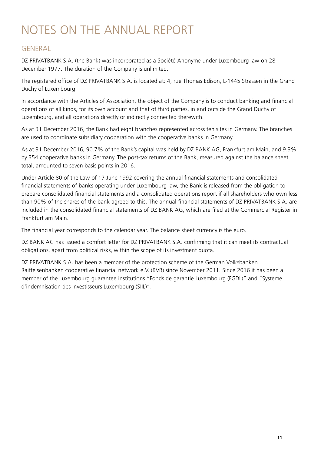## NOTES ON THE ANNUAL REPORT

## **GENERAL**

DZ PRIVATBANK S.A. (the Bank) was incorporated as a Société Anonyme under Luxembourg law on 28 December 1977. The duration of the Company is unlimited.

The registered office of DZ PRIVATBANK S.A. is located at: 4, rue Thomas Edison, L-1445 Strassen in the Grand Duchy of Luxembourg.

In accordance with the Articles of Association, the object of the Company is to conduct banking and financial operations of all kinds, for its own account and that of third parties, in and outside the Grand Duchy of Luxembourg, and all operations directly or indirectly connected therewith.

As at 31 December 2016, the Bank had eight branches represented across ten sites in Germany. The branches are used to coordinate subsidiary cooperation with the cooperative banks in Germany.

As at 31 December 2016, 90.7% of the Bank's capital was held by DZ BANK AG, Frankfurt am Main, and 9.3% by 354 cooperative banks in Germany. The post-tax returns of the Bank, measured against the balance sheet total, amounted to seven basis points in 2016.

Under Article 80 of the Law of 17 June 1992 covering the annual financial statements and consolidated financial statements of banks operating under Luxembourg law, the Bank is released from the obligation to prepare consolidated financial statements and a consolidated operations report if all shareholders who own less than 90% of the shares of the bank agreed to this. The annual financial statements of DZ PRIVATBANK S.A. are included in the consolidated financial statements of DZ BANK AG, which are filed at the Commercial Register in Frankfurt am Main.

The financial year corresponds to the calendar year. The balance sheet currency is the euro.

DZ BANK AG has issued a comfort letter for DZ PRIVATBANK S.A. confirming that it can meet its contractual obligations, apart from political risks, within the scope of its investment quota.

DZ PRIVATBANK S.A. has been a member of the protection scheme of the German Volksbanken Raiffeisenbanken cooperative financial network e.V. (BVR) since November 2011. Since 2016 it has been a member of the Luxembourg guarantee institutions "Fonds de garantie Luxembourg (FGDL)" and "Systeme d'indemnisation des investisseurs Luxembourg (SIIL)".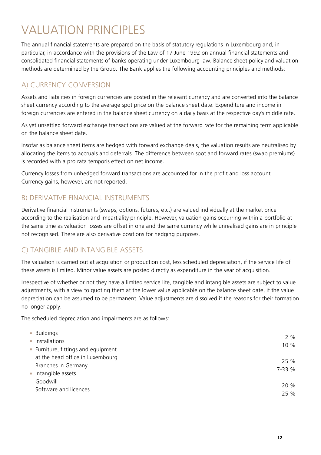## **VALUATION PRINCIPLES**

The annual financial statements are prepared on the basis of statutory regulations in Luxembourg and, in particular, in accordance with the provisions of the Law of 17 June 1992 on annual financial statements and consolidated financial statements of banks operating under Luxembourg law. Balance sheet policy and valuation methods are determined by the Group. The Bank applies the following accounting principles and methods:

## A) CURRENCY CONVERSION

Assets and liabilities in foreign currencies are posted in the relevant currency and are converted into the balance sheet currency according to the average spot price on the balance sheet date. Expenditure and income in foreign currencies are entered in the balance sheet currency on a daily basis at the respective day's middle rate.

As yet unsettled forward exchange transactions are valued at the forward rate for the remaining term applicable on the balance sheet date.

Insofar as balance sheet items are hedged with forward exchange deals, the valuation results are neutralised by allocating the items to accruals and deferrals. The difference between spot and forward rates (swap premiums) is recorded with a pro rata temporis effect on net income.

Currency losses from unhedged forward transactions are accounted for in the profit and loss account. Currency gains, however, are not reported.

## B) DERIVATIVE FINANCIAL INSTRUMENTS

Derivative financial instruments (swaps, options, futures, etc.) are valued individually at the market price according to the realisation and impartiality principle. However, valuation gains occurring within a portfolio at the same time as valuation losses are offset in one and the same currency while unrealised gains are in principle not recognised. There are also derivative positions for hedging purposes.

## C) TANGIBLE AND INTANGIBLE ASSETS

The valuation is carried out at acquisition or production cost, less scheduled depreciation, if the service life of these assets is limited. Minor value assets are posted directly as expenditure in the year of acquisition.

Irrespective of whether or not they have a limited service life, tangible and intangible assets are subject to value adjustments, with a view to quoting them at the lower value applicable on the balance sheet date, if the value depreciation can be assumed to be permanent. Value adjustments are dissolved if the reasons for their formation no longer apply.

The scheduled depreciation and impairments are as follows:

| <b>Buildings</b>                    |        |
|-------------------------------------|--------|
| • Installations                     | 2%     |
| • Furniture, fittings and equipment | 10 %   |
| at the head office in Luxembourg    | 25 %   |
| Branches in Germany                 | 7-33 % |
| • Intangible assets                 |        |
| Goodwill                            |        |
| Software and licences               | 20 %   |
|                                     | 25 %   |
|                                     |        |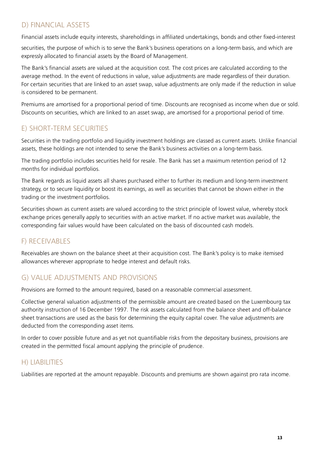## D) FINANCIAL ASSETS

Financial assets include equity interests, shareholdings in affiliated undertakings, bonds and other fixed-interest

securities, the purpose of which is to serve the Bank's business operations on a long-term basis, and which are expressly allocated to financial assets by the Board of Management.

The Bank's financial assets are valued at the acquisition cost. The cost prices are calculated according to the average method. In the event of reductions in value, value adjustments are made regardless of their duration. For certain securities that are linked to an asset swap, value adjustments are only made if the reduction in value is considered to be permanent.

Premiums are amortised for a proportional period of time. Discounts are recognised as income when due or sold. Discounts on securities, which are linked to an asset swap, are amortised for a proportional period of time.

## E) SHORT-TERM SECURITIES

Securities in the trading portfolio and liquidity investment holdings are classed as current assets. Unlike financial assets, these holdings are not intended to serve the Bank's business activities on a long-term basis.

The trading portfolio includes securities held for resale. The Bank has set a maximum retention period of 12 months for individual portfolios.

The Bank regards as liquid assets all shares purchased either to further its medium and long-term investment strategy, or to secure liquidity or boost its earnings, as well as securities that cannot be shown either in the trading or the investment portfolios.

Securities shown as current assets are valued according to the strict principle of lowest value, whereby stock exchange prices generally apply to securities with an active market. If no active market was available, the corresponding fair values would have been calculated on the basis of discounted cash models.

## F) RECEIVABLES

Receivables are shown on the balance sheet at their acquisition cost. The Bank's policy is to make itemised allowances wherever appropriate to hedge interest and default risks.

## G) VALUE ADJUSTMENTS AND PROVISIONS

Provisions are formed to the amount required, based on a reasonable commercial assessment.

Collective general valuation adjustments of the permissible amount are created based on the Luxembourg tax authority instruction of 16 December 1997. The risk assets calculated from the balance sheet and off-balance sheet transactions are used as the basis for determining the equity capital cover. The value adjustments are deducted from the corresponding asset items.

In order to cover possible future and as yet not quantifiable risks from the depositary business, provisions are created in the permitted fiscal amount applying the principle of prudence.

## H) LIABILITIES

Liabilities are reported at the amount repayable. Discounts and premiums are shown against pro rata income.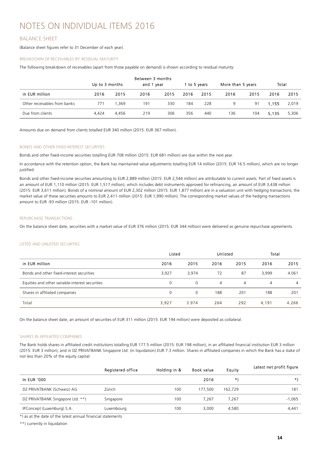## NOTES ON INDIVIDUAL ITEMS 2016

## BALANCE SHEET

(Balance sheet figures refer to 31 December of each year).

### BREAKDOWN OF RECEIVABLES BY RESIDUAL MATURITY

The following breakdown of receivables (apart from those payable on demand) is shown according to residual maturity:

|                              | Up to 3 months |       | Between 3 months<br>and 1 year |      |      | 1 to 5 vears | More than 5 years |      | Total |       |
|------------------------------|----------------|-------|--------------------------------|------|------|--------------|-------------------|------|-------|-------|
| in EUR million               | 2016           | 2015  | 2016                           | 2015 | 2016 | 2015         | 2016              | 2015 | 2016  | 2015  |
| Other receivables from banks | 771            | 1.369 | 191                            | 330  | 184  | 228          | 9                 | 91   | 1.155 | 2,019 |
| Due from clients             | 4.424          | 4.456 | 219                            | 306  | 356  | 440          | 136               | 104  | 5.135 | 5,306 |

Amounts due on demand from clients totalled EUR 340 million (2015: EUR 367 million).

#### BONDS AND OTHER FIXED-INTEREST SECURITIES

Bonds and other fixed-income securities totalling EUR 708 million (2015: EUR 681 million) are due within the next year.

In accordance with the retention option, the Bank has maintained value adjustments totalling EUR 14 million (2015: EUR 16.5 million), which are no longer justified.

Bonds and other fixed-income securities amounting to EUR 2,889 million (2015: EUR 2,544 million) are attributable to current assets. Part of fixed assets is an amount of EUR 1,110 million (2015: EUR 1,517 million), which includes debt instruments approved for refinancing, an amount of EUR 3,438 million (2015: EUR 3,611 million). Bonds of a nominal amount of EUR 2,302 million (2015: EUR 1,877 million) are in a valuation unit with hedging transactions; the market value of these securities amounts to EUR 2,411 million (2015: EUR 1,990 million). The corresponding market values of the hedging transactions amount to EUR -93 million (2015: EUR -101 million).

#### REPURCHASE TRANSACTIONS

On the balance sheet date, securities with a market value of EUR 376 million (2015: EUR 344 million) were delivered as genuine repurchase agreements.

## LISTED AND UNLISTED SECURITIES

|                                                 | Listed |          | Unlisted |                | Total |                |
|-------------------------------------------------|--------|----------|----------|----------------|-------|----------------|
| in EUR million                                  | 2016   | 2015     | 2016     | 2015           | 2016  | 2015           |
| Bonds and other fixed-interest securities       | 3,927  | 3.974    | 72       | 87             | 3.999 | 4.061          |
| Equities and other variable-interest securities | 0      | $\Omega$ | 4        | $\overline{4}$ | 4     | $\overline{4}$ |
| Shares in affiliated companies                  | 0      | $\Omega$ | 188      | 201            | 188   | 201            |
| Total                                           | 3,927  | 3.974    | 264      | 292            | 4,191 | 4.266          |

On the balance sheet date, an amount of securities of EUR 311 million (2015: EUR 194 million) were deposited as collateral.

#### SHARES IN AFFILIATED COMPANIES

The Bank holds shares in affiliated credit institutions totalling EUR 177.5 million (2015: EUR 198 million), in an affiliated financial institution EUR 3 million (2015: EUR 3 million), and in DZ PRIVATBANK Singapore Ltd. (in liquidation) EUR 7.3 million. Shares in affiliated companies in which the Bank has a stake of not less than 20% of the equity capital:

|                                  | Registered office | Holding in & | <b>Book value</b> | Equity  | Latest net profit figure |
|----------------------------------|-------------------|--------------|-------------------|---------|--------------------------|
| In EUR '000                      |                   |              | 2016              | $\star$ | $\star$                  |
| DZ PRIVATBANK (Schweiz) AG       | Zürich            | 100          | 177,500           | 162,729 | 181                      |
| DZ PRIVATBANK Singapore Ltd. **) | Singapore         | 100          | 7.267             | 7.267   | $-1.065$                 |
| IPConcept (Luxemburg) S.A.       | Luxembourg        | 100          | 3,000             | 4.580   | 4,441                    |

\*) as at the date of the latest annual financial statements

\*\*) currently in liquidation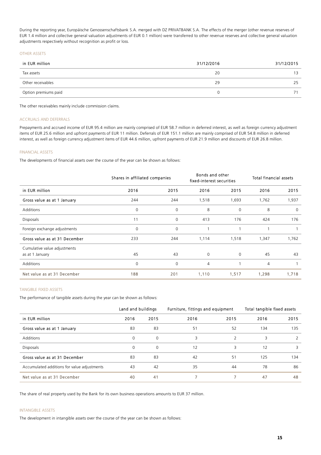During the reporting year, Europäische Genossenschaftsbank S.A. merged with DZ PRIVATBANK S.A. The effects of the merger (other revenue reserves of EUR 1.4 million and collective general valuation adjustments of EUR 0.1 million) were transferred to other revenue reserves and collective general valuation adjustments respectively without recognition as profit or loss.

#### OTHER ASSETS

| in EUR million       | 31/12/2016 | 31/12/2015      |
|----------------------|------------|-----------------|
| Tax assets           | 20         | 13 <sup>2</sup> |
| Other receivables    | 29         | 25              |
| Option premiums paid |            |                 |

The other receivables mainly include commission claims.

#### ACCRUALS AND DEFERRALS

Prepayments and accrued income of EUR 95.4 million are mainly comprised of EUR 58.7 million in deferred interest, as well as foreign currency adjustment items of EUR 25.6 million and upfront payments of EUR 11 million. Deferrals of EUR 151.1 million are mainly comprised of EUR 54.8 million in deferred interest, as well as foreign currency adjustment items of EUR 44.6 million, upfront payments of EUR 21.9 million and discounts of EUR 26.8 million.

## FINANCIAL ASSETS

The developments of financial assets over the course of the year can be shown as follows:

|                                                 |      | Shares in affiliated companies |                | Bonds and other<br>fixed-interest securities |       | <b>Total financial assets</b> |  |
|-------------------------------------------------|------|--------------------------------|----------------|----------------------------------------------|-------|-------------------------------|--|
| in EUR million                                  | 2016 | 2015                           | 2016           | 2015                                         | 2016  | 2015                          |  |
| Gross value as at 1 January                     | 244  | 244                            | 1,518          | 1,693                                        | 1,762 | 1,937                         |  |
| <b>Additions</b>                                | 0    | $\Omega$                       | 8              | 0                                            | 8     | $\Omega$                      |  |
| <b>Disposals</b>                                | 11   | $\mathbf{0}$                   | 413            | 176                                          | 424   | 176                           |  |
| Foreign exchange adjustments                    | 0    | 0                              |                |                                              | 1     |                               |  |
| Gross value as at 31 December                   | 233  | 244                            | 1,114          | 1,518                                        | 1,347 | 1,762                         |  |
| Cumulative value adjustments<br>as at 1 January | 45   | 43                             | 0              | 0                                            | 45    | 43                            |  |
| <b>Additions</b>                                | 0    | $\Omega$                       | $\overline{4}$ |                                              | 4     |                               |  |
| Net value as at 31 December                     | 188  | 201                            | 1,110          | 1,517                                        | 1,298 | 1,718                         |  |

#### TANGIBLE FIXED ASSETS

The performance of tangible assets during the year can be shown as follows:

|                                             | Land and buildings | Total tangible fixed assets<br>Furniture, fittings and equipment |      |      |      |      |
|---------------------------------------------|--------------------|------------------------------------------------------------------|------|------|------|------|
| in EUR million                              | 2016               | 2015                                                             | 2016 | 2015 | 2016 | 2015 |
| Gross value as at 1 January                 | 83                 | 83                                                               | 51   | 52   | 134  | 135  |
| <b>Additions</b>                            | $\mathbf 0$        | 0                                                                | 3    | C    | 3    |      |
| <b>Disposals</b>                            | $\Omega$           | 0                                                                | 12   | 3    | 12   |      |
| Gross value as at 31 December               | 83                 | 83                                                               | 42   | 51   | 125  | 134  |
| Accumulated additions for value adjustments | 43                 | 42                                                               | 35   | 44   | 78   | 86   |
| Net value as at 31 December                 | 40                 | 41                                                               |      |      | 47   | 48   |

The share of real property used by the Bank for its own business operations amounts to EUR 37 million.

#### INTANGIBLE ASSETS

The development in intangible assets over the course of the year can be shown as follows: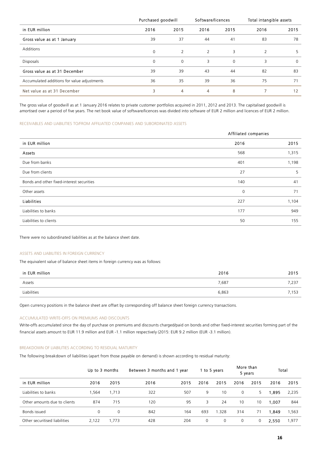|                                             | Purchased goodwill |                | Software/licences |          | Total intangible assets |          |
|---------------------------------------------|--------------------|----------------|-------------------|----------|-------------------------|----------|
| in EUR million                              | 2016               | 2015           | 2016              | 2015     | 2016                    | 2015     |
| Gross value as at 1 January                 | 39                 | 37             | 44                | 41       | 83                      | 78       |
| Additions                                   | $\Omega$           | $\overline{2}$ | 2                 | 3        | 2                       | 5        |
| <b>Disposals</b>                            | $\Omega$           | $\Omega$       | 3                 | $\Omega$ | 3                       | $\Omega$ |
| Gross value as at 31 December               | 39                 | 39             | 43                | 44       | 82                      | 83       |
| Accumulated additions for value adjustments | 36                 | 35             | 39                | 36       | 75                      | 71       |
| Net value as at 31 December                 | 3                  | 4              | 4                 | 8        |                         | 12       |

The gross value of goodwill as at 1 January 2016 relates to private customer portfolios acquired in 2011, 2012 and 2013. The capitalised goodwill is amortised over a period of five years. The net book value of software/licences was divided into software of EUR 2 million and licences of EUR 2 million.

## RECEIVABLES AND LIABILITIES TO/FROM AFFILIATED COMPANIES AND SUBORDINATED ASSETS

|                                           | Affiliated companies |       |  |  |
|-------------------------------------------|----------------------|-------|--|--|
| in EUR million                            | 2016                 | 2015  |  |  |
| Assets                                    | 568                  | 1,315 |  |  |
| Due from banks                            | 401                  | 1,198 |  |  |
| Due from clients                          | 27                   | 5     |  |  |
| Bonds and other fixed-interest securities | 140                  | 41    |  |  |
| Other assets                              | 0                    | 71    |  |  |
| Liabilities                               | 227                  | 1,104 |  |  |
| Liabilities to banks                      | 177                  | 949   |  |  |
| Liabilities to clients                    | 50                   | 155   |  |  |

There were no subordinated liabilities as at the balance sheet date.

#### ASSETS AND LIABILITIES IN FOREIGN CURRENCY

The equivalent value of balance sheet items in foreign currency was as follows:

| in EUR million | 2016  | 2015  |
|----------------|-------|-------|
| Assets         | 7,687 | 7,237 |
| Liabilities    | 6,863 | ,153  |

Open currency positions in the balance sheet are offset by corresponding off balance sheet foreign currency transactions.

## ACCUMULATED WRITE-OFFS ON PREMIUMS AND DISCOUNTS

Write-offs accumulated since the day of purchase on premiums and discounts charged/paid on bonds and other fixed-interest securities forming part of the financial assets amount to EUR 11.9 million and EUR -1.1 million respectively (2015: EUR 9.2 million (EUR -3.1 million).

### BREAKDOWN OF LIABILITIES ACCORDING TO RESIDUAL MATURITY

The following breakdown of liabilities (apart from those payable on demand) is shown according to residual maturity:

|                               | Up to 3 months |       | Between 3 months and 1 year |      |          | 1 to 5 years | More than<br>5 years |      | Total  |       |
|-------------------------------|----------------|-------|-----------------------------|------|----------|--------------|----------------------|------|--------|-------|
| in EUR million                | 2016           | 2015  | 2016                        | 2015 | 2016     | 2015         | 2016                 | 2015 | 2016   | 2015  |
| Liabilities to banks          | 564, ا         | 1,713 | 322                         | 507  | 9        | 10           | 0                    | 5.   | 895. ا | 2,235 |
| Other amounts due to clients  | 874            | 715   | 120                         | 95   | 3        | 24           | 10                   | 10   | 1.007  | 844   |
| Bonds issued                  | 0              | 0     | 842                         | 164  | 693      | .328         | 314                  | 71   | 1.849  | 1,563 |
| Other securitised liabilities | 2,122          | 1,773 | 428                         | 204  | $\Omega$ | 0            | 0                    | 0    | 2.550  | .977  |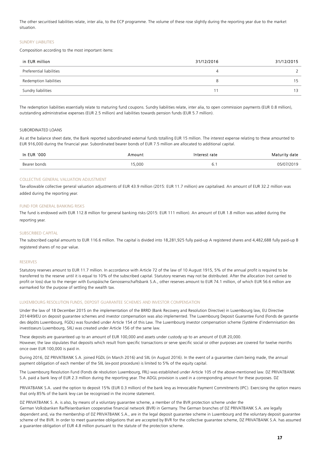The other securitised liabilities relate, inter alia, to the ECP programme. The volume of these rose slightly during the reporting year due to the market situation.

#### SUNDRY LIABILITIES

Composition according to the most important items:

| in EUR million           | 31/12/2016 | 31/12/2015 |
|--------------------------|------------|------------|
| Preferential liabilities |            |            |
| Redemption liabilities   |            | 15         |
| Sundry liabilities       |            | 13         |

The redemption liabilities essentially relate to maturing fund coupons. Sundry liabilities relate, inter alia, to open commission payments (EUR 0.8 million), outstanding administrative expenses (EUR 2.5 million) and liabilities towards pension funds (EUR 5.7 million).

## SUBORDINATED LOANS

As at the balance sheet date, the Bank reported subordinated external funds totalling EUR 15 million. The interest expense relating to these amounted to EUR 916,000 during the financial year. Subordinated bearer bonds of EUR 7.5 million are allocated to additional capital.

| In EUR '000  | moun) | 'erest rate | date<br>maturi |
|--------------|-------|-------------|----------------|
| Bearer bonds | 5,000 | . J. .      |                |

#### COLLECTIVE GENERAL VALUATION ADJUSTMENT

Tax-allowable collective general valuation adjustments of EUR 43.9 million (2015: EUR 11.7 million) are capitalised. An amount of EUR 32.2 million was added during the reporting year.

#### FUND FOR GENERAL BANKING RISKS

The fund is endowed with EUR 112.8 million for general banking risks (2015: EUR 111 million). An amount of EUR 1.8 million was added during the reporting year.

#### SUBSCRIBED CAPITAL

The subscribed capital amounts to EUR 116.6 million. The capital is divided into 18,281,925 fully paid-up A registered shares and 4,482,688 fully paid-up B registered shares of no par value.

#### RESERVES

Statutory reserves amount to EUR 11.7 million. In accordance with Article 72 of the law of 10 August 1915, 5% of the annual profit is required to be transferred to the reserve until it is equal to 10% of the subscribed capital. Statutory reserves may not be distributed. After the allocation (not carried to profit or loss) due to the merger with Europäische Genossenschaftsbank S.A., other reserves amount to EUR 74.1 million, of which EUR 56.6 million are earmarked for the purpose of settling the wealth tax.

#### LUXEMBOURG RESOLUTION FUNDS, DEPOSIT GUARANTEE SCHEMES AND INVESTOR COMPENSATION

Under the law of 18 December 2015 on the implementation of the BRRD (Bank Recovery and Resolution Directive) in Luxembourg law, EU Directive 2014/49/EU on deposit guarantee schemes and investor compensation was also implemented. The Luxembourg Deposit Guarantee Fund (Fonds de garantie des dépôts Luxembourg, FGDL) was founded under Article 154 of this Law. The Luxembourg investor compensation scheme (Système d'indemnisation des investisseurs Luxembourg, SIIL) was created under Article 156 of the same law.

These deposits are guaranteed up to an amount of EUR 100,000 and assets under custody up to an amount of EUR 20,000. However, the law stipulates that deposits which result from specific transactions or serve specific social or other purposes are covered for twelve months once over EUR 100,000 is paid in.

During 2016, DZ PRIVATBANK S.A. joined FGDL (in March 2016) and SIIL (in August 2016). In the event of a guarantee claim being made, the annual payment obligation of each member of the SIIL (ex-post procedure) is limited to 5% of the equity capital.

The Luxembourg Resolution Fund (Fonds de résolution Luxembourg, FRL) was established under Article 105 of the above-mentioned law. DZ PRIVATBANK S.A. paid a bank levy of EUR 2.3 million during the reporting year. The ADGL provision is used in a corresponding amount for these purposes. DZ

PRIVATBANK S.A. used the option to deposit 15% (EUR 0.3 million) of the bank levy as Irrevocable Payment Commitments (IPC). Exercising the option means that only 85% of the bank levy can be recognised in the income statement.

DZ PRIVATBANK S. A. is also, by means of a voluntary guarantee scheme, a member of the BVR protection scheme under the German Volksbanken Raiffeisenbanken cooperative financial network (BVR) in Germany. The German branches of DZ PRIVATBANK S.A. are legally dependent and, via the membership of DZ PRIVATBANK S.A., are in the legal deposit guarantee scheme in Luxembourg and the voluntary deposit guarantee scheme of the BVR. In order to meet guarantee obligations that are accepted by BVR for the collective guarantee scheme, DZ PRIVATBANK S.A. has assumed a guarantee obligation of EUR 4.8 million pursuant to the statute of the protection scheme.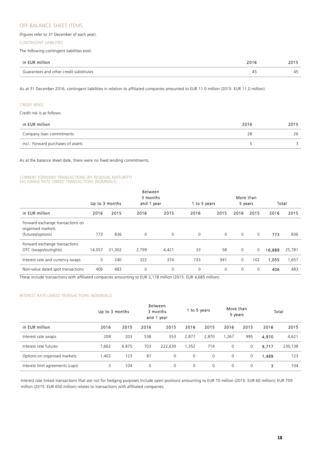## OFF BALANCE SHEET ITEMS

(Figures refer to 31 December of each year).

#### CONTINGENT LIABILITIES

The following contingent liabilities exist:

| in EUR million                          | 2016 | 2015 |
|-----------------------------------------|------|------|
| Guarantees and other credit substitutes | 41   | "4   |

As at 31 December 2016, contingent liabilities in relation to affiliated companies amounted to EUR 11.0 million (2015: EUR 11.0 million).

#### CREDIT RISKS

Credit risk is as follows:

| in EUR million                     | 2016 | 2015 |
|------------------------------------|------|------|
| Company loan commitments           |      | 26   |
| incl.: Forward purchases of assets |      |      |

As at the balance sheet date, there were no fixed lending commitments.

#### CURRENT FORWARD TRANSACTIONS (BY RESIDUAL MATURITY) EXCHANGE RATE LINKED TRANSACTIONS (NOMINALS)

|                                                       |        |                | <b>Between</b>         |             |          |              |          |                      |        |        |
|-------------------------------------------------------|--------|----------------|------------------------|-------------|----------|--------------|----------|----------------------|--------|--------|
|                                                       |        | Up to 3 months | 3 months<br>and 1 year |             |          | 1 to 5 years |          | More than<br>5 years |        | Total  |
|                                                       |        |                |                        |             |          |              |          |                      |        |        |
| in EUR million                                        | 2016   | 2015           | 2016                   | 2015        | 2016     | 2015         | 2016     | 2015                 | 2016   | 2015   |
| Forward exchange transactions on<br>organised markets |        |                |                        |             |          |              |          |                      |        |        |
| (futures/options)                                     | 773    | 836            | $\mathbf 0$            | $\mathbf 0$ | $\Omega$ | 0            | $\Omega$ | $\mathbf{0}$         | 773    | 836    |
| Forward exchange transactions                         |        |                |                        |             |          |              |          |                      |        |        |
| OTC (swaps/outrights)                                 | 14,057 | 21,302         | 2,799                  | 4,421       | 33       | 58           | 0        | 0                    | 16,889 | 25,781 |
| Interest rate and currency swaps                      | 0      | 240            | 322                    | 374         | 733      | 941          | 0        | 102                  | 1,055  | 1,657  |
| Non-value dated spot transactions                     | 406    | 483            | 0                      | 0           | 0        | 0            | 0        | 0                    | 406    | 483    |

These include transactions with affiliated companies amounting to EUR 2,178 million (2015: EUR 4,685 million).

#### INTEREST RATE-LINKED TRANSACTIONS (NOMINALS)

|                                  | Up to 3 months |       | Between<br>3 months<br>and 1 year |         | 1 to 5 years |       | More than<br>5 years |          |       | Total   |
|----------------------------------|----------------|-------|-----------------------------------|---------|--------------|-------|----------------------|----------|-------|---------|
| in EUR million                   | 2016           | 2015  | 2016                              | 2015    | 2016         | 2015  | 2016                 | 2015     | 2016  | 2015    |
| Interest rate swaps              | 208            | 203   | 538                               | 553     | 2,877        | 2.870 | ,267                 | 995      | 4,970 | 4,621   |
| Interest rate futures            | 7.662          | 6.875 | 703                               | 222.639 | 1,352        | 714   | 0                    | 0        | 9.717 | 230,138 |
| Options on organised markets     | 1,402          | 123   | 87                                | 0       | 0            | 0     | $\mathbf 0$          | 0        | 1,489 | 123     |
| Interest limit agreements (caps) | 3              | 104   | 0                                 | 0       | 0            | 0     | $\Omega$             | $\Omega$ | 3     | 104     |

Interest rate linked transactions that are not for hedging purposes include open positions amounting to EUR 70 million (2015: EUR 60 million); EUR 709 million (2015: EUR 650 million) relates to transactions with affiliated companies.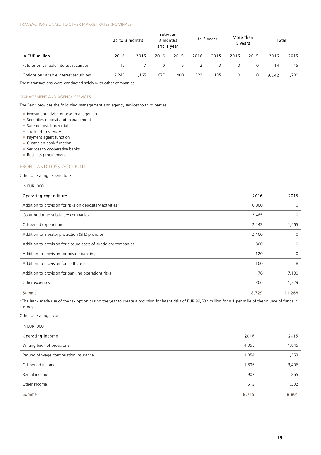|                                          | Up to 3 months |       | Between<br>3 months<br>and 1 year |      | 1 to 5 years |      | More than<br>5 years |      | Total |       |
|------------------------------------------|----------------|-------|-----------------------------------|------|--------------|------|----------------------|------|-------|-------|
| in EUR million                           | 2016           | 2015  | 2016                              | 2015 | 2016         | 2015 | 2016                 | 2015 | 2016  | 2015  |
| Futures on variable interest securities  | 12             |       | 0                                 | 5    | 2            | 3    | $\Omega$             | 0    | 14    | 15    |
| Options on variable interest securitites | 2.243          | 1.165 | 677                               | 400  | 322          | 135  | 0                    | 0    | 3.242 | 1.700 |

These transactions were conducted solely with other companies.

#### MANAGEMENT AND AGENCY SERVICES

The Bank provides the following management and agency services to third parties:

- **Investment advice or asset management**
- **Securities deposit and management**
- **Safe deposit box rental**
- **Trusteeship services**
- **Payment agent function**
- Custodian bank function
- **Services to cooperative banks**
- **Business procurement**

## PROFIT AND LOSS ACCOUNT

Other operating expenditure:

in EUR '000

| Operating expenditure                                           | 2016   | 2015     |
|-----------------------------------------------------------------|--------|----------|
| Addition to provision for risks on depositary activities*       | 10,000 | $\Omega$ |
| Contribution to subsidiary companies                            | 2,485  | $\Omega$ |
| Off-period expenditure                                          | 2,442  | 1,465    |
| Addition to investor protection (SIIL) provision                | 2,400  | $\Omega$ |
| Addition to provision for closure costs of subsidiary companies | 800    | 0        |
| Addition to provision for private banking                       | 120    | $\Omega$ |
| Addition to provision for staff costs                           | 100    | 8        |
| Addition to provision for banking operations risks              | 76     | 7,100    |
| Other expenses                                                  | 306    | 1,229    |
| Summe                                                           | 18,729 | 11,268   |

\*The Bank made use of the tax option during the year to create a provision for latent risks of EUR 99,532 million for 0.1 per mille of the volume of funds in custody.

Other operating income:

in EUR '000

| Operating income                      | 2016  | 2015  |
|---------------------------------------|-------|-------|
| Writing back of provisions            | 4,355 | 845,  |
| Refund of wage continuation insurance | 1,054 | 1,353 |
| Off-period income                     | 1,896 | 3,406 |
| Rental income                         | 902   | 865   |
| Other income                          | 512   | 1,332 |
| Summe                                 | 8,719 | 8,801 |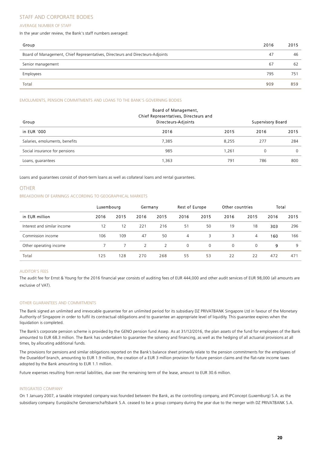## STAFF AND CORPORATE BODIES

### AVERAGE NUMBER OF STAFF

In the year under review, the Bank's staff numbers averaged:

| Group                                                                          | 2016 | 2015 |
|--------------------------------------------------------------------------------|------|------|
| Board of Management, Chief Representatives, Directeurs and Directeurs-Adjoints | 47   | 46   |
| Senior management                                                              | 67   | 62   |
| Employees                                                                      | 795  | 751  |
| Total                                                                          | 909  | 859  |
|                                                                                |      |      |

### EMOLUMENTS, PENSION COMMITMENTS AND LOANS TO THE BANK'S GOVERNING BODIES

| Group                          | Board of Management,<br>Chief Representatives, Directeurs and<br>Directeurs-Adjoints |       | <b>Supervisory Board</b> |          |  |
|--------------------------------|--------------------------------------------------------------------------------------|-------|--------------------------|----------|--|
| in EUR '000                    | 2016                                                                                 | 2015  | 2016                     | 2015     |  |
| Salaries, emoluments, benefits | 7,385                                                                                | 8.255 | 277                      | 284      |  |
| Social insurance for pensions  | 985                                                                                  | 1.261 |                          | $\Omega$ |  |
| Loans, guarantees              | 1,363                                                                                | 791   | 786                      | 800      |  |

Loans and guarantees consist of short-term loans as well as collateral loans and rental guarantees.

## OTHER

## BREAKDOWN OF EARNINGS ACCORDING TO GEOGRAPHICAL MARKETS

|                             | Luxembourg |      | Germany |      | <b>Rest of Europe</b> |          | Other countries |      | Total |      |
|-----------------------------|------------|------|---------|------|-----------------------|----------|-----------------|------|-------|------|
| in EUR million              | 2016       | 2015 | 2016    | 2015 | 2016                  | 2015     | 2016            | 2015 | 2016  | 2015 |
| Interest and similar income | 12         | 12   | 221     | 216  | 51                    | 50       | 19              | 18   | 303   | 296  |
| Commission income           | 106        | 109  | 47      | 50   | 4                     | 3        | 3               | 4    | 160   | 166  |
| Other operating income      |            |      | 2       | 2    | $\Omega$              | $\Omega$ | $\Omega$        | 0    | 9     | 9    |
| Total                       | 125        | 128  | 270     | 268  | 55                    | 53       | 22              | 22   | 472   | 471  |

#### AUDITOR'S FEES

The audit fee for Ernst & Young for the 2016 financial year consists of auditing fees of EUR 444,000 and other audit services of EUR 98,000 (all amounts are exclusive of VAT).

#### OTHER GUARANTEES AND COMMITMENTS

The Bank signed an unlimited and irrevocable guarantee for an unlimited period for its subsidiary DZ PRIVATBANK Singapore Ltd in favour of the Monetary Authority of Singapore in order to fulfil its contractual obligations and to guarantee an appropriate level of liquidity. This guarantee expires when the liquidation is completed.

The Bank's corporate pension scheme is provided by the GENO pension fund Assep. As at 31/12/2016, the plan assets of the fund for employees of the Bank amounted to EUR 68.3 million. The Bank has undertaken to guarantee the solvency and financing, as well as the hedging of all actuarial provisions at all times, by allocating additional funds.

The provisions for pensions and similar obligations reported on the Bank's balance sheet primarily relate to the pension commitments for the employees of the Dusseldorf branch, amounting to EUR 1.9 million, the creation of a EUR 3 million provision for future pension claims and the flat-rate income taxes adopted by the Bank amounting to EUR 1.1 million.

Future expenses resulting from rental liabilities, due over the remaining term of the lease, amount to EUR 30.6 million.

#### INTEGRATED COMPANY

On 1 January 2007, a taxable integrated company was founded between the Bank, as the controlling company, and IPConcept (Luxemburg) S.A. as the subsidiary company. Europäische Genossenschaftsbank S.A. ceased to be a group company during the year due to the merger with DZ PRIVATBANK S.A.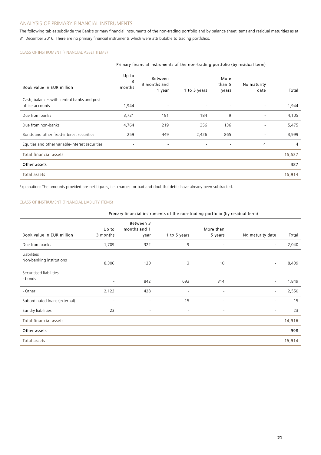## ANALYSIS OF PRIMARY FINANCIAL INSTRUMENTS

The following tables subdivide the Bank's primary financial instruments of the non-trading portfolio and by balance sheet items and residual maturities as at 31 December 2016. There are no primary financial instruments which were attributable to trading portfolios.

## CLASS OF INSTRUMENT (FINANCIAL ASSET ITEMS)

| Primary financial instruments of the non-trading portfolio (by residual term) |                          |                                          |                          |                          |                          |        |  |
|-------------------------------------------------------------------------------|--------------------------|------------------------------------------|--------------------------|--------------------------|--------------------------|--------|--|
| Book value in EUR million                                                     | Up to<br>з<br>months     | <b>Between</b><br>3 months and<br>1 year | 1 to 5 years             | More<br>than 5<br>years  | No maturity<br>date      | Total  |  |
| Cash, balances with central banks and post<br>office accounts                 | 1,944                    | $\overline{\phantom{a}}$                 | $\overline{\phantom{a}}$ | $\overline{\phantom{a}}$ | $\overline{\phantom{a}}$ | 1,944  |  |
| Due from banks                                                                | 3,721                    | 191                                      | 184                      | 9                        | $\overline{\phantom{a}}$ | 4,105  |  |
| Due from non-banks                                                            | 4,764                    | 219                                      | 356                      | 136                      |                          | 5,475  |  |
| Bonds and other fixed-interest securities                                     | 259                      | 449                                      | 2,426                    | 865                      | ٠                        | 3,999  |  |
| Equities and other variable-interest securities                               | $\overline{\phantom{a}}$ | $\blacksquare$                           | $\overline{\phantom{a}}$ | $\blacksquare$           | 4                        | 4      |  |
| <b>Total financial assets</b>                                                 |                          |                                          |                          |                          |                          | 15,527 |  |
| Other assets                                                                  |                          |                                          |                          |                          |                          | 387    |  |
| Total assets                                                                  |                          |                                          |                          |                          |                          | 15,914 |  |

Explanation: The amounts provided are net figures, i.e. charges for bad and doubtful debts have already been subtracted.

## CLASS OF INSTRUMENT (FINANCIAL LIABILITY ITEMS)

## Primary financial instruments of the non-trading portfolio (by residual term)

|                                         | Up to                    | Between 3<br>months and 1 |                          | More than                |                          |        |
|-----------------------------------------|--------------------------|---------------------------|--------------------------|--------------------------|--------------------------|--------|
| Book value in EUR million               | 3 months                 | year                      | 1 to 5 years             | 5 years                  | No maturity date         | Total  |
| Due from banks                          | 1,709                    | 322                       | 9                        | $\overline{\phantom{a}}$ | $\equiv$                 | 2,040  |
| Liabilities<br>Non-banking institutions | 8,306                    | 120                       | 3                        | 10                       |                          | 8,439  |
| Securitised liabilities<br>- bonds      | $\overline{\phantom{a}}$ | 842                       | 693                      | 314                      | $\overline{\phantom{a}}$ | 1,849  |
| - Other                                 | 2,122                    | 428                       | $\overline{\phantom{a}}$ | $\overline{\phantom{a}}$ | $\sim$                   | 2,550  |
| Subordinated loans (external)           | $\overline{\phantom{a}}$ | $\overline{\phantom{a}}$  | 15                       | $\overline{\phantom{a}}$ | $\blacksquare$           | 15     |
| Sundry liabilities                      | 23                       | $\overline{\phantom{a}}$  | $\overline{\phantom{a}}$ | $\overline{\phantom{a}}$ | ۰                        | 23     |
| <b>Total financial assets</b>           |                          |                           |                          |                          |                          | 14,916 |
| Other assets                            |                          |                           |                          |                          |                          | 998    |
| Total assets                            |                          |                           |                          |                          |                          | 15,914 |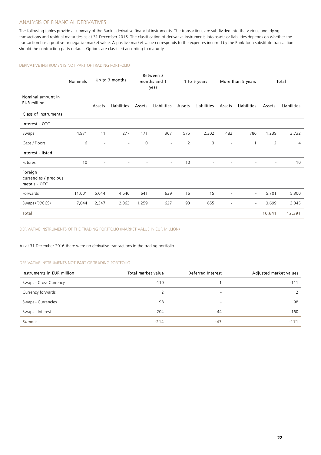## ANALYSIS OF FINANCIAL DERIVATIVES

The following tables provide a summary of the Bank's derivative financial instruments. The transactions are subdivided into the various underlying transactions and residual maturities as at 31 December 2016. The classification of derivative instruments into assets or liabilities depends on whether the transaction has a positive or negative market value. A positive market value corresponds to the expenses incurred by the Bank for a substitute transaction should the contracting party default. Options are classified according to maturity.

#### DERIVATIVE INSTRUMENTS NOT PART OF TRADING PORTFOLIO

|                                                  | <b>Nominals</b> |                | Up to 3 months     |                          | Between 3<br>months and 1<br>year |                | 1 to 5 years             |        | More than 5 years        |                | Total              |
|--------------------------------------------------|-----------------|----------------|--------------------|--------------------------|-----------------------------------|----------------|--------------------------|--------|--------------------------|----------------|--------------------|
| Nominal amount in<br><b>EUR</b> million          |                 | Assets         | <b>Liabilities</b> | Assets                   | Liabilities                       | Assets         | <b>Liabilities</b>       | Assets | Liabilities              | Assets         | <b>Liabilities</b> |
| Class of instruments                             |                 |                |                    |                          |                                   |                |                          |        |                          |                |                    |
| Interest - OTC                                   |                 |                |                    |                          |                                   |                |                          |        |                          |                |                    |
| Swaps                                            | 4,971           | 11             | 277                | 171                      | 367                               | 575            | 2,302                    | 482    | 786                      | 1,239          | 3,732              |
| Caps / Floors                                    | 6               | $\overline{a}$ | ÷,                 | $\mathbf 0$              | $\overline{\phantom{a}}$          | $\overline{2}$ | 3                        |        | $\mathbf{1}$             | 2              | 4                  |
| Interest - listed                                |                 |                |                    |                          |                                   |                |                          |        |                          |                |                    |
| Futures                                          | 10              | $\blacksquare$ | $\sim$             | $\overline{\phantom{a}}$ | $\sim$                            | 10             | $\overline{\phantom{a}}$ |        | Ξ                        | $\blacksquare$ | 10                 |
| Foreign<br>currencies / precious<br>metals - OTC |                 |                |                    |                          |                                   |                |                          |        |                          |                |                    |
| Forwards                                         | 11,001          | 5,044          | 4,646              | 641                      | 639                               | 16             | 15                       |        | $\overline{\phantom{a}}$ | 5,701          | 5,300              |
| Swaps (FX/CCS)                                   | 7,044           | 2,347          | 2,063              | 1,259                    | 627                               | 93             | 655                      |        | $\overline{\phantom{a}}$ | 3,699          | 3,345              |
| Total                                            |                 |                |                    |                          |                                   |                |                          |        |                          | 10,641         | 12,391             |

DERIVATIVE INSTRUMENTS OF THE TRADING PORTFOLIO (MARKET VALUE IN EUR MILLION)

As at 31 December 2016 there were no derivative transactions in the trading portfolio.

## DERIVATIVE INSTRUMENTS NOT PART OF TRADING PORTFOLIO

| Instruments in EUR million | Total market value | Deferred Interest        | Adjusted market values |
|----------------------------|--------------------|--------------------------|------------------------|
| Swaps - Cross-Currency     | $-110$             |                          | $-111$                 |
| Currency forwards          |                    | $\overline{\phantom{a}}$ |                        |
| Swaps - Currencies         | 98                 | $\overline{\phantom{0}}$ | 98                     |
| Swaps - Interest           | $-204$             | -44                      | $-160$                 |
| Summe                      | $-214$             | -43                      | $-171$                 |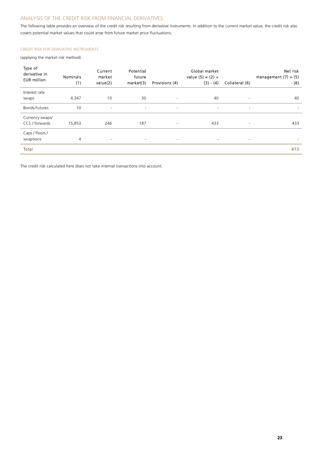## ANALYSIS OF THE CREDIT RISK FROM FINANCIAL DERIVATIVES

The following table provides an overview of the credit risk resulting from derivative instruments. In addition to the current market value, the credit risk also covers potential market values that could arise from future market price fluctuations.

## CREDIT RISK FOR DERIVATIVE INSTRUMENTS

(applying the market risk method)

| Type of<br>derivative in<br><b>EUR</b> million | <b>Nominals</b><br>(1) | Current<br>market<br>value(2) | Potential<br>future<br>market(3) | Provisions (4)           | Global market<br>value $(5) = (2) +$<br>$(3) - (4)$ | Collateral (6)           | Net risk<br>management $(7) = (5)$<br>$-(6)$ |
|------------------------------------------------|------------------------|-------------------------------|----------------------------------|--------------------------|-----------------------------------------------------|--------------------------|----------------------------------------------|
| Interest rate<br>swaps                         | 4,347                  | 10                            | 30                               | $\overline{\phantom{a}}$ | 40                                                  | $\overline{\phantom{a}}$ | 40                                           |
| Bonds-Futures                                  | 10                     | $\overline{\phantom{a}}$      | $\overline{\phantom{a}}$         | $\overline{\phantom{a}}$ | $\overline{\phantom{a}}$                            | $\sim$                   | $\sim$                                       |
| Currency swaps/<br>CCS / forwards              | 15,853                 | 246                           | 187                              | $\equiv$                 | 433                                                 | $\overline{\phantom{a}}$ | 433                                          |
| Caps / floors /<br>swaptions                   | $\overline{4}$         | $\sim$                        | $\overline{\phantom{a}}$         | $\overline{\phantom{a}}$ | $\overline{\phantom{a}}$                            | $\overline{\phantom{a}}$ |                                              |
| Total                                          |                        |                               |                                  |                          |                                                     |                          | 473                                          |

The credit risk calculated here does not take internal transactions into account.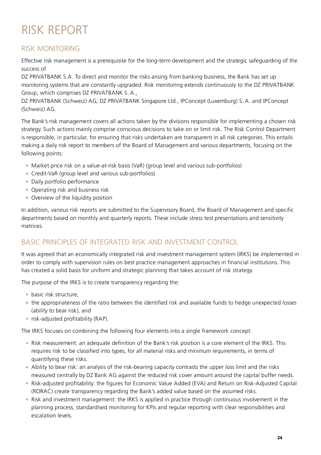## RISK REPORT

## RISK MONITORING

Effective risk management is a prerequisite for the long-term development and the strategic safeguarding of the success of

DZ PRIVATBANK S.A. To direct and monitor the risks arising from banking business, the Bank has set up monitoring systems that are constantly upgraded. Risk monitoring extends continuously to the DZ PRIVATBANK Group, which comprises DZ PRIVATBANK S. A.,

DZ PRIVATBANK (Schweiz) AG, DZ PRIVATBANK Singapore Ltd., IPConcept (Luxemburg) S. A. and IPConcept (Schweiz) AG.

The Bank's risk management covers all actions taken by the divisions responsible for implementing a chosen risk strategy. Such actions mainly comprise conscious decisions to take on or limit risk. The Risk Control Department is responsible, in particular, for ensuring that risks undertaken are transparent in all risk categories. This entails making a daily risk report to members of the Board of Management and various departments, focusing on the following points:

- Market price risk on a value-at-risk basis (VaR) (group level and various sub-portfolios)
- Credit-VaR (group level and various sub-portfolios)
- **Daily portfolio performance**
- **Operating risk and business risk**
- **Overview of the liquidity position**

In addition, various risk reports are submitted to the Supervisory Board, the Board of Management and specific departments based on monthly and quarterly reports. These include stress test presentations and sensitivity matrices.

## BASIC PRINCIPLES OF INTEGRATED RISK AND INVESTMENT CONTROL

It was agreed that an economically integrated risk and investment management system (IRKS) be implemented in order to comply with supervision rules on best practice management approaches in financial institutions. This has created a solid basis for uniform and strategic planning that takes account of risk strategy.

The purpose of the IRKS is to create transparency regarding the:

- **basic risk structure.**
- the appropriateness of the ratio between the identified risk and available funds to hedge unexpected losses (ability to bear risk), and
- **F** risk-adjusted profitability (RAP).

The IRKS focuses on combining the following four elements into a single framework concept:

- Risk measurement: an adequate definition of the Bank's risk position is a core element of the IRKS. This requires risk to be classified into types, for all material risks and minimum requirements, in terms of quantifying these risks.
- Ability to bear risk: an analysis of the risk-bearing capacity contrasts the upper loss limit and the risks measured centrally by DZ Bank AG against the reduced risk cover amount around the capital buffer needs.
- Risk-adjusted profitability: the figures for Economic Value Added (EVA) and Return on Risk-Adjusted Capital (RORAC) create transparency regarding the Bank's added value based on the assumed risks.
- Risk and investment management: the IRKS is applied in practice through continuous involvement in the planning process, standardised monitoring for KPIs and regular reporting with clear responsibilities and escalation levels.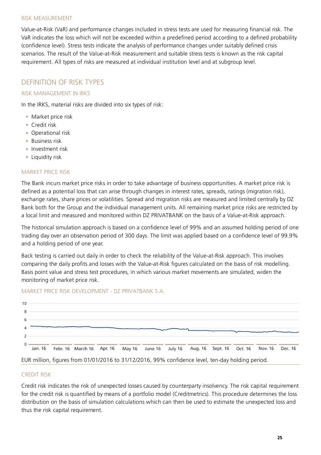## RISK MEASUREMENT

Value-at-Risk (VaR) and performance changes included in stress tests are used for measuring financial risk. The VaR indicates the loss which will not be exceeded within a predefined period according to a defined probability (confidence level). Stress tests indicate the analysis of performance changes under suitably defined crisis scenarios. The result of the Value-at-Risk measurement and suitable stress tests is known as the risk capital requirement. All types of risks are measured at individual institution level and at subgroup level.

## DEFINITION OF RISK TYPES

## RISK MANAGEMENT IN IRKS

In the IRKS, material risks are divided into six types of risk:

- **Market price risk**
- **Credit risk**
- **Operational risk**
- **Business risk**
- **Investment risk**
- **Liquidity risk**

## MARKET PRICE RISK

The Bank incurs market price risks in order to take advantage of business opportunities. A market price risk is defined as a potential loss that can arise through changes in interest rates, spreads, ratings (migration risk), exchange rates, share prices or volatilities. Spread and migration risks are measured and limited centrally by DZ Bank both for the Group and the individual management units. All remaining market price risks are restricted by a local limit and measured and monitored within DZ PRIVATBANK on the basis of a Value-at-Risk approach.

The historical simulation approach is based on a confidence level of 99% and an assumed holding period of one trading day over an observation period of 300 days. The limit was applied based on a confidence level of 99.9% and a holding period of one year.

Back testing is carried out daily in order to check the reliability of the Value-at-Risk approach. This involves comparing the daily profits and losses with the Value-at-Risk figures calculated on the basis of risk modelling. Basis point value and stress test procedures, in which various market movements are simulated, widen the monitoring of market price risk.



## MARKET PRICE RISK DEVELOPMENT - DZ PRIVATBANK S.A.

## CREDIT RISK

Credit risk indicates the risk of unexpected losses caused by counterparty insolvency. The risk capital requirement for the credit risk is quantified by means of a portfolio model (Creditmetrics). This procedure determines the loss distribution on the basis of simulation calculations which can then be used to estimate the unexpected loss and thus the risk capital requirement.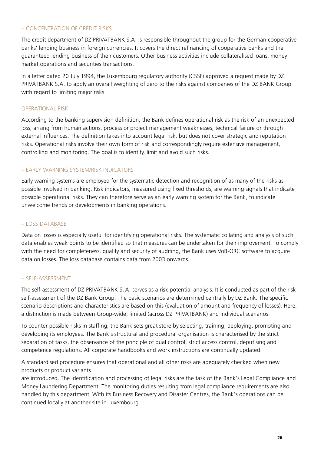## – CONCENTRATION OF CREDIT RISKS

The credit department of DZ PRIVATBANK S.A. is responsible throughout the group for the German cooperative banks' lending business in foreign currencies. It covers the direct refinancing of cooperative banks and the guaranteed lending business of their customers. Other business activities include collateralised loans, money market operations and securities transactions.

In a letter dated 20 July 1994, the Luxembourg regulatory authority (CSSF) approved a request made by DZ PRIVATBANK S.A. to apply an overall weighting of zero to the risks against companies of the DZ BANK Group with regard to limiting major risks.

## OPERATIONAL RISK

According to the banking supervision definition, the Bank defines operational risk as the risk of an unexpected loss, arising from human actions, process or project management weaknesses, technical failure or through external influences. The definition takes into account legal risk, but does not cover strategic and reputation risks. Operational risks involve their own form of risk and correspondingly require extensive management, controlling and monitoring. The goal is to identify, limit and avoid such risks.

## – EARLY WARNING SYSTEM/RISK INDICATORS

Early warning systems are employed for the systematic detection and recognition of as many of the risks as possible involved in banking. Risk indicators, measured using fixed thresholds, are warning signals that indicate possible operational risks. They can therefore serve as an early warning system for the Bank, to indicate unwelcome trends or developments in banking operations.

## – LOSS DATABASE

Data on losses is especially useful for identifying operational risks. The systematic collating and analysis of such data enables weak points to be identified so that measures can be undertaken for their improvement. To comply with the need for completeness, quality and security of auditing, the Bank uses VöB-ORC software to acquire data on losses. The loss database contains data from 2003 onwards.

## – SELF-ASSESSMENT

The self-assessment of DZ PRIVATBANK S. A. serves as a risk potential analysis. It is conducted as part of the risk self-assessment of the DZ Bank Group. The basic scenarios are determined centrally by DZ Bank. The specific scenario descriptions and characteristics are based on this (evaluation of amount and frequency of losses). Here, a distinction is made between Group-wide, limited (across DZ PRIVATBANK) and individual scenarios.

To counter possible risks in staffing, the Bank sets great store by selecting, training, deploying, promoting and developing its employees. The Bank's structural and procedural organisation is characterised by the strict separation of tasks, the observance of the principle of dual control, strict access control, deputising and competence regulations. All corporate handbooks and work instructions are continually updated.

A standardised procedure ensures that operational and all other risks are adequately checked when new products or product variants

are introduced. The identification and processing of legal risks are the task of the Bank's Legal Compliance and Money Laundering Department. The monitoring duties resulting from legal compliance requirements are also handled by this department. With its Business Recovery and Disaster Centres, the Bank's operations can be continued locally at another site in Luxembourg.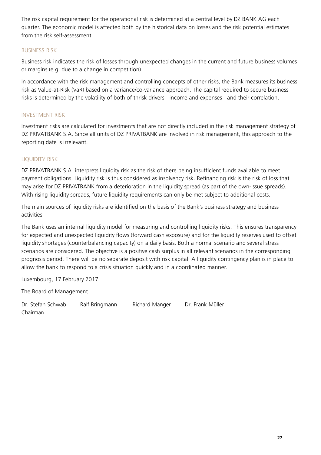The risk capital requirement for the operational risk is determined at a central level by DZ BANK AG each quarter. The economic model is affected both by the historical data on losses and the risk potential estimates from the risk self-assessment.

## BUSINESS RISK

Business risk indicates the risk of losses through unexpected changes in the current and future business volumes or margins (e.g. due to a change in competition).

In accordance with the risk management and controlling concepts of other risks, the Bank measures its business risk as Value-at-Risk (VaR) based on a variance/co-variance approach. The capital required to secure business risks is determined by the volatility of both of thrisk drivers - income and expenses - and their correlation.

## INVESTMENT RISK

Investment risks are calculated for investments that are not directly included in the risk management strategy of DZ PRIVATBANK S.A. Since all units of DZ PRIVATBANK are involved in risk management, this approach to the reporting date is irrelevant.

## LIQUIDITY RISK

DZ PRIVATBANK S.A. interprets liquidity risk as the risk of there being insufficient funds available to meet payment obligations. Liquidity risk is thus considered as insolvency risk. Refinancing risk is the risk of loss that may arise for DZ PRIVATBANK from a deterioration in the liquidity spread (as part of the own-issue spreads). With rising liquidity spreads, future liquidity requirements can only be met subject to additional costs.

The main sources of liquidity risks are identified on the basis of the Bank's business strategy and business activities.

The Bank uses an internal liquidity model for measuring and controlling liquidity risks. This ensures transparency for expected and unexpected liquidity flows (forward cash exposure) and for the liquidity reserves used to offset liquidity shortages (counterbalancing capacity) on a daily basis. Both a normal scenario and several stress scenarios are considered. The objective is a positive cash surplus in all relevant scenarios in the corresponding prognosis period. There will be no separate deposit with risk capital. A liquidity contingency plan is in place to allow the bank to respond to a crisis situation quickly and in a coordinated manner.

Luxembourg, 17 February 2017

The Board of Management

Dr. Stefan Schwab Ralf Bringmann Richard Manger Dr. Frank Müller Chairman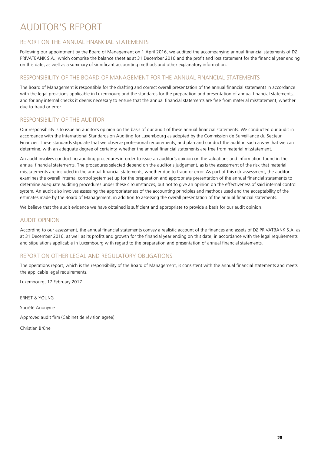## AUDITOR'S REPORT

## REPORT ON THE ANNUAL FINANCIAL STATEMENTS

Following our appointment by the Board of Management on 1 April 2016, we audited the accompanying annual financial statements of DZ PRIVATBANK S.A., which comprise the balance sheet as at 31 December 2016 and the profit and loss statement for the financial year ending on this date, as well as a summary of significant accounting methods and other explanatory information.

## RESPONSIBILITY OF THE BOARD OF MANAGEMENT FOR THE ANNUAL FINANCIAL STATEMENTS

The Board of Management is responsible for the drafting and correct overall presentation of the annual financial statements in accordance with the legal provisions applicable in Luxembourg and the standards for the preparation and presentation of annual financial statements, and for any internal checks it deems necessary to ensure that the annual financial statements are free from material misstatement, whether due to fraud or error.

## RESPONSIBILITY OF THE AUDITOR

Our responsibility is to issue an auditor's opinion on the basis of our audit of these annual financial statements. We conducted our audit in accordance with the International Standards on Auditing for Luxembourg as adopted by the Commission de Surveillance du Secteur Financier. These standards stipulate that we observe professional requirements, and plan and conduct the audit in such a way that we can determine, with an adequate degree of certainty, whether the annual financial statements are free from material misstatement.

An audit involves conducting auditing procedures in order to issue an auditor's opinion on the valuations and information found in the annual financial statements. The procedures selected depend on the auditor's judgement, as is the assessment of the risk that material misstatements are included in the annual financial statements, whether due to fraud or error. As part of this risk assessment, the auditor examines the overall internal control system set up for the preparation and appropriate presentation of the annual financial statements to determine adequate auditing procedures under these circumstances, but not to give an opinion on the effectiveness of said internal control system. An audit also involves assessing the appropriateness of the accounting principles and methods used and the acceptability of the estimates made by the Board of Management, in addition to assessing the overall presentation of the annual financial statements.

We believe that the audit evidence we have obtained is sufficient and appropriate to provide a basis for our audit opinion.

## AUDIT OPINION

According to our assessment, the annual financial statements convey a realistic account of the finances and assets of DZ PRIVATBANK S.A. as at 31 December 2016, as well as its profits and growth for the financial year ending on this date, in accordance with the legal requirements and stipulations applicable in Luxembourg with regard to the preparation and presentation of annual financial statements.

## REPORT ON OTHER LEGAL AND REGULATORY OBLIGATIONS

The operations report, which is the responsibility of the Board of Management, is consistent with the annual financial statements and meets the applicable legal requirements.

Luxembourg, 17 February 2017

ERNST & YOUNG Société Anonyme

Approved audit firm (Cabinet de révision agréé)

Christian Brüne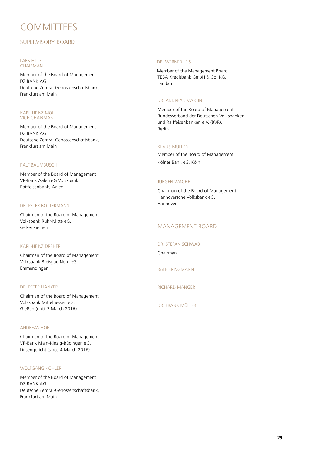## **COMMITTEES**

## SUPERVISORY BOARD

#### LARS HILLE **CHAIRMAN**

Member of the Board of Management DZ BANK AG Deutsche Zentral-Genossenschaftsbank, Frankfurt am Main

## KARL-HEINZ MOLL VICE-CHAIRMAN

Member of the Board of Management DZ BANK AG Deutsche Zentral-Genossenschaftsbank, Frankfurt am Main

## RALF BAUMBUSCH

Member of the Board of Management VR-Bank Aalen eG Volksbank Raiffeisenbank, Aalen

## DR. PETER BOTTERMANN

Chairman of the Board of Management Volksbank Ruhr-Mitte eG, Gelsenkirchen

## KARL-HEINZ DREHER

Chairman of the Board of Management Volksbank Breisgau Nord eG, Emmendingen

## DR. PETER HANKER

Chairman of the Board of Management Volksbank Mittelhessen eG, Gießen (until 3 March 2016)

## ANDREAS HOF

Chairman of the Board of Management VR-Bank Main-Kinzig-Büdingen eG, Linsengericht (since 4 March 2016)

## WOLFGANG KÖHLER

Member of the Board of Management DZ BANK AG Deutsche Zentral-Genossenschaftsbank, Frankfurt am Main

## DR. WERNER LEIS

TEBA Kreditbank GmbH & Co. KG, Landau Member of the Management Board

## DR. ANDREAS MARTIN

Member of the Board of Management Bundesverband der Deutschen Volksbanken und Raiffeisenbanken e.V. (BVR), Berlin

## KLAUS MÜLLER

Member of the Board of Management Kölner Bank eG, Köln

## JÜRGEN WACHE

Chairman of the Board of Management Hannoversche Volksbank eG, Hannover

## MANAGEMENT BOARD

## DR. STEFAN SCHWAB

Chairman

RALF BRINGMANN

RICHARD MANGER

DR. FRANK MÜLLER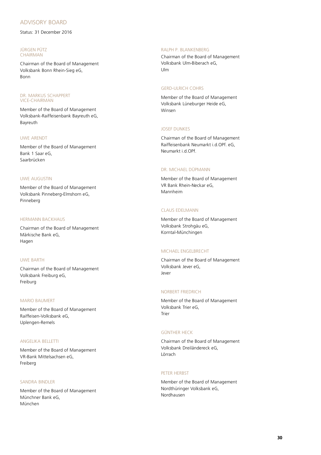## ADVISORY BOARD

Status: 31 December 2016

### JÜRGEN PÜTZ CHAIRMAN

Chairman of the Board of Management Volksbank Bonn Rhein-Sieg eG, Bonn

## DR. MARKUS SCHAPPERT VICE-CHAIRMAN

Member of the Board of Management Volksbank-Raiffeisenbank Bayreuth eG, Bayreuth

## UWE ARENDT

Member of the Board of Management Bank 1 Saar eG, Saarbrücken

## UWE AUGUSTIN

Member of the Board of Management Volksbank Pinneberg-Elmshorn eG, Pinneberg

## HERMANN BACKHAUS

Chairman of the Board of Management Märkische Bank eG, Hagen

## UWE BARTH

Chairman of the Board of Management Volksbank Freiburg eG, Freiburg

## MARIO BAUMERT

Member of the Board of Management Raiffeisen-Volksbank eG, Uplengen-Remels

## ANGELIKA BELLETTI

Member of the Board of Management VR-Bank Mittelsachsen eG, Freiberg

## SANDRA BINDLER

Member of the Board of Management Münchner Bank eG, München

## RALPH P. BLANKENBERG

Chairman of the Board of Management Volksbank Ulm-Biberach eG, Ulm

## GERD-ULRICH COHRS

Member of the Board of Management Volksbank Lüneburger Heide eG, Winsen

## JOSEF DUNKES

Chairman of the Board of Management Raiffeisenbank Neumarkt i.d.OPf. eG, Neumarkt i.d.OPf.

## DR. MICHAEL DÜPMANN

Member of the Board of Management VR Bank Rhein-Neckar eG, Mannheim

## CLAUS EDELMANN

Member of the Board of Management Volksbank Strohgäu eG, Korntal-Münchingen

## MICHAEL ENGELBRECHT

Chairman of the Board of Management Volksbank Jever eG, Jever

## NORBERT FRIEDRICH

Member of the Board of Management Volksbank Trier eG, Trier

## GÜNTHER HECK

Chairman of the Board of Management Volksbank Dreiländereck eG, Lörrach

## PETER HERBST

Member of the Board of Management Nordthüringer Volksbank eG, Nordhausen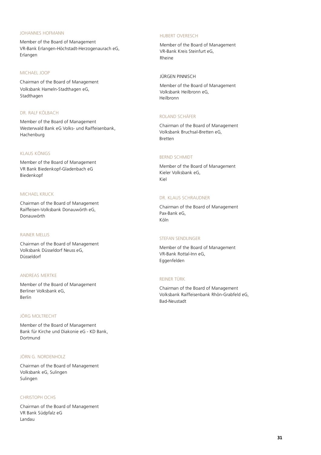## JOHANNES HOFMANN

Member of the Board of Management VR-Bank Erlangen-Höchstadt-Herzogenaurach eG, Erlangen

## MICHAEL JOOP

Volksbank Hameln-Stadthagen eG, Stadthagen Chairman of the Board of Management

## DR. RALF KÖLBACH

Member of the Board of Management Westerwald Bank eG Volks- und Raiffeisenbank, Hachenburg

## KLAUS KÖNIGS

Member of the Board of Management VR Bank Biedenkopf-Gladenbach eG Biedenkopf

## MICHAEL KRUCK

Chairman of the Board of Management Raiffeisen-Volksbank Donauwörth eG, Donauwörth

## RAINER MELLIS

Chairman of the Board of Management Volksbank Düsseldorf Neuss eG, Düsseldorf

## ANDREAS MERTKE

Member of the Board of Management Berliner Volksbank eG, Berlin

## JÖRG MOLTRECHT

Member of the Board of Management Bank für Kirche und Diakonie eG - KD Bank, Dortmund

## JÖRN G. NORDENHOLZ

Chairman of the Board of Management Volksbank eG, Sulingen Sulingen

## CHRISTOPH OCHS

Chairman of the Board of Management VR Bank Südpfalz eG Landau

## HUBERT OVERESCH

Member of the Board of Management VR-Bank Kreis Steinfurt eG, Rheine

## JÜRGEN PINNISCH

Member of the Board of Management Volksbank Heilbronn eG, Heilbronn

## ROLAND SCHÄFER

Chairman of the Board of Management Volksbank Bruchsal-Bretten eG, Bretten

## BERND SCHMIDT

Member of the Board of Management Kieler Volksbank eG, Kiel

## DR. KLAUS SCHRAUDNER

Chairman of the Board of Management Pax-Bank eG, Köln

## STEFAN SENDLINGER

Member of the Board of Management VR-Bank Rottal-Inn eG, Eggenfelden

#### REINER TÜRK

Chairman of the Board of Management Volksbank Raiffeisenbank Rhön-Grabfeld eG, Bad-Neustadt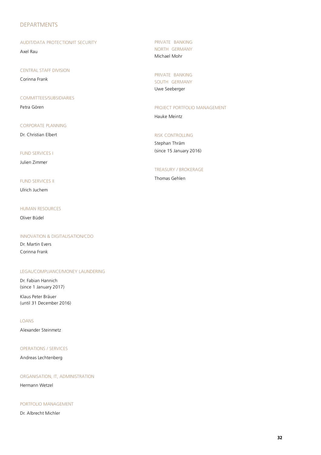## DEPARTMENTS

## AUDIT/DATA PROTECTION/IT SECURITY

Axel Rau

CENTRAL STAFF DIVISION

Corinna Frank

## COMMITTEES/SUBSIDIARIES

Petra Gören

## CORPORATE PLANNING

Dr. Christian Elbert

## FUND SERVICES I

Julien Zimmer

## **FUND SERVICES II**

Ulrich Juchem

## HUMAN RESOURCES

Oliver Büdel

## INNOVATION & DIGITALISATION/CDO

Dr. Martin Evers Corinna Frank

## LEGAL/COMPLIANCE/MONEY LAUNDERING

Dr. Fabian Hannich (since 1 January 2017)

Klaus Peter Bräuer (until 31 December 2016)

## LOANS

Alexander Steinmetz

## OPERATIONS / SERVICES

Andreas Lechtenberg

## ORGANISATION, IT, ADMINISTRATION

Hermann Wetzel

## PORTFOLIO MANAGEMENT

Dr. Albrecht Michler

PRIVATE BANKING NORTH GERMANY Michael Mohr

PRIVATE BANKING SOUTH GERMANY Uwe Seeberger

## PROJECT PORTFOLIO MANAGEMENT

Hauke Meintz

## RISK CONTROLLING

Stephan Thräm (since 15 January 2016)

## TREASURY / BROKERAGE

Thomas Gehlen